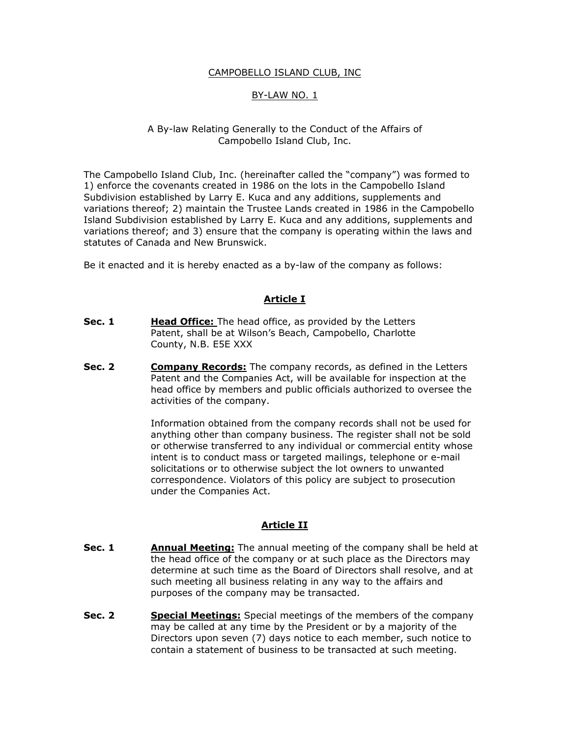#### CAMPOBELLO ISLAND CLUB, INC

## BY-LAW NO. 1

#### A By-law Relating Generally to the Conduct of the Affairs of Campobello Island Club, Inc.

The Campobello Island Club, Inc. (hereinafter called the "company") was formed to 1) enforce the covenants created in 1986 on the lots in the Campobello Island Subdivision established by Larry E. Kuca and any additions, supplements and variations thereof; 2) maintain the Trustee Lands created in 1986 in the Campobello Island Subdivision established by Larry E. Kuca and any additions, supplements and variations thereof; and 3) ensure that the company is operating within the laws and statutes of Canada and New Brunswick.

Be it enacted and it is hereby enacted as a by-law of the company as follows:

#### **Article I**

- **Sec. 1 Head Office:** The head office, as provided by the Letters Patent, shall be at Wilson's Beach, Campobello, Charlotte County, N.B. E5E XXX
- **Sec. 2 Company Records:** The company records, as defined in the Letters Patent and the Companies Act, will be available for inspection at the head office by members and public officials authorized to oversee the activities of the company.

Information obtained from the company records shall not be used for anything other than company business. The register shall not be sold or otherwise transferred to any individual or commercial entity whose intent is to conduct mass or targeted mailings, telephone or e-mail solicitations or to otherwise subject the lot owners to unwanted correspondence. Violators of this policy are subject to prosecution under the Companies Act.

## **Article II**

- **Sec. 1** Annual Meeting: The annual meeting of the company shall be held at the head office of the company or at such place as the Directors may determine at such time as the Board of Directors shall resolve, and at such meeting all business relating in any way to the affairs and purposes of the company may be transacted.
- **Sec. 2 Special Meetings:** Special meetings of the members of the company may be called at any time by the President or by a majority of the Directors upon seven (7) days notice to each member, such notice to contain a statement of business to be transacted at such meeting.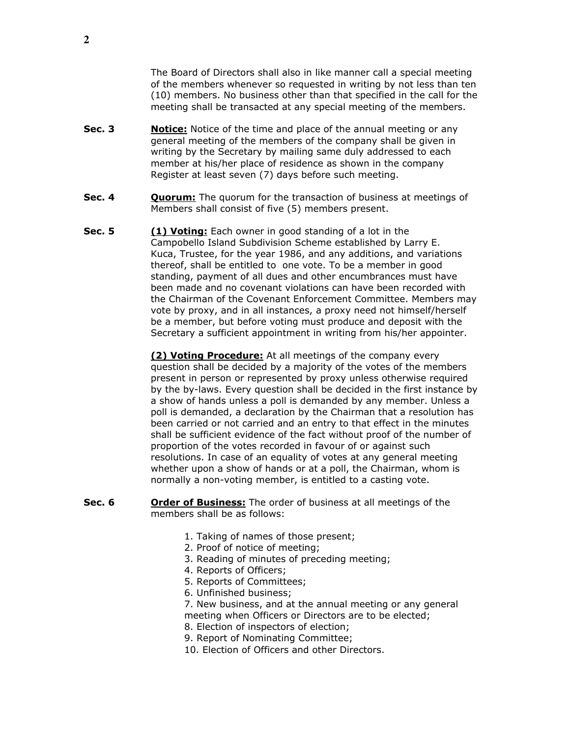The Board of Directors shall also in like manner call a special meeting of the members whenever so requested in writing by not less than ten (10) members. No business other than that specified in the call for the meeting shall be transacted at any special meeting of the members.

- **Sec. 3** Notice: Notice of the time and place of the annual meeting or any general meeting of the members of the company shall be given in writing by the Secretary by mailing same duly addressed to each member at his/her place of residence as shown in the company Register at least seven (7) days before such meeting.
- **Sec. 4 Quorum:** The quorum for the transaction of business at meetings of Members shall consist of five (5) members present.
- **Sec. 5 (1) Voting:** Each owner in good standing of a lot in the Campobello Island Subdivision Scheme established by Larry E. Kuca, Trustee, for the year 1986, and any additions, and variations thereof, shall be entitled to one vote. To be a member in good standing, payment of all dues and other encumbrances must have been made and no covenant violations can have been recorded with the Chairman of the Covenant Enforcement Committee. Members may vote by proxy, and in all instances, a proxy need not himself/herself be a member, but before voting must produce and deposit with the Secretary a sufficient appointment in writing from his/her appointer.

**(2) Voting Procedure:** At all meetings of the company every question shall be decided by a majority of the votes of the members present in person or represented by proxy unless otherwise required by the by-laws. Every question shall be decided in the first instance by a show of hands unless a poll is demanded by any member. Unless a poll is demanded, a declaration by the Chairman that a resolution has been carried or not carried and an entry to that effect in the minutes shall be sufficient evidence of the fact without proof of the number of proportion of the votes recorded in favour of or against such resolutions. In case of an equality of votes at any general meeting whether upon a show of hands or at a poll, the Chairman, whom is normally a non-voting member, is entitled to a casting vote.

- **Sec. 6** Order of Business: The order of business at all meetings of the members shall be as follows:
	- 1. Taking of names of those present;
	- 2. Proof of notice of meeting;
	- 3. Reading of minutes of preceding meeting;
	- 4. Reports of Officers;
	- 5. Reports of Committees;
	- 6. Unfinished business;
	- 7. New business, and at the annual meeting or any general meeting when Officers or Directors are to be elected;
	- 8. Election of inspectors of election;
	- 9. Report of Nominating Committee;
	- 10. Election of Officers and other Directors.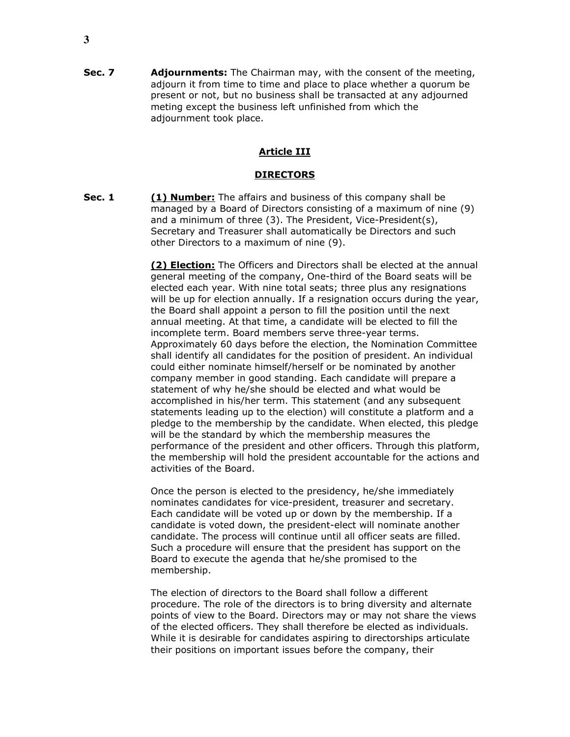**Sec. 7** Adjournments: The Chairman may, with the consent of the meeting, adjourn it from time to time and place to place whether a quorum be present or not, but no business shall be transacted at any adjourned meting except the business left unfinished from which the adjournment took place.

## **Article III**

#### **DIRECTORS**

**Sec. 1 (1) Number:** The affairs and business of this company shall be managed by a Board of Directors consisting of a maximum of nine (9) and a minimum of three (3). The President, Vice-President(s), Secretary and Treasurer shall automatically be Directors and such other Directors to a maximum of nine (9).

> **(2) Election:** The Officers and Directors shall be elected at the annual general meeting of the company, One-third of the Board seats will be elected each year. With nine total seats; three plus any resignations will be up for election annually. If a resignation occurs during the year, the Board shall appoint a person to fill the position until the next annual meeting. At that time, a candidate will be elected to fill the incomplete term. Board members serve three-year terms. Approximately 60 days before the election, the Nomination Committee shall identify all candidates for the position of president. An individual could either nominate himself/herself or be nominated by another company member in good standing. Each candidate will prepare a statement of why he/she should be elected and what would be accomplished in his/her term. This statement (and any subsequent statements leading up to the election) will constitute a platform and a pledge to the membership by the candidate. When elected, this pledge will be the standard by which the membership measures the performance of the president and other officers. Through this platform, the membership will hold the president accountable for the actions and activities of the Board.

Once the person is elected to the presidency, he/she immediately nominates candidates for vice-president, treasurer and secretary. Each candidate will be voted up or down by the membership. If a candidate is voted down, the president-elect will nominate another candidate. The process will continue until all officer seats are filled. Such a procedure will ensure that the president has support on the Board to execute the agenda that he/she promised to the membership.

The election of directors to the Board shall follow a different procedure. The role of the directors is to bring diversity and alternate points of view to the Board. Directors may or may not share the views of the elected officers. They shall therefore be elected as individuals. While it is desirable for candidates aspiring to directorships articulate their positions on important issues before the company, their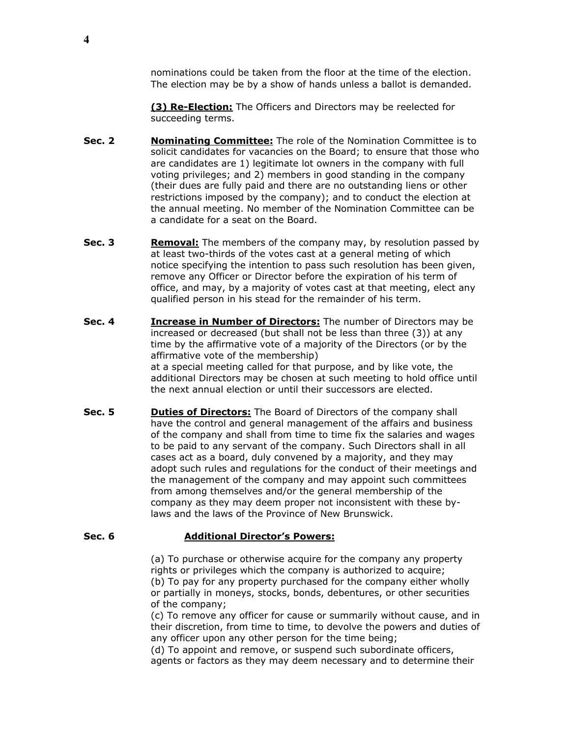nominations could be taken from the floor at the time of the election. The election may be by a show of hands unless a ballot is demanded.

**(3) Re-Election:** The Officers and Directors may be reelected for succeeding terms.

- **Sec. 2 Nominating Committee:** The role of the Nomination Committee is to solicit candidates for vacancies on the Board; to ensure that those who are candidates are 1) legitimate lot owners in the company with full voting privileges; and 2) members in good standing in the company (their dues are fully paid and there are no outstanding liens or other restrictions imposed by the company); and to conduct the election at the annual meeting. No member of the Nomination Committee can be a candidate for a seat on the Board.
- **Sec. 3** Removal: The members of the company may, by resolution passed by at least two-thirds of the votes cast at a general meting of which notice specifying the intention to pass such resolution has been given, remove any Officer or Director before the expiration of his term of office, and may, by a majority of votes cast at that meeting, elect any qualified person in his stead for the remainder of his term.
- **Sec. 4 Increase in Number of Directors:** The number of Directors may be increased or decreased (but shall not be less than three (3)) at any time by the affirmative vote of a majority of the Directors (or by the affirmative vote of the membership) at a special meeting called for that purpose, and by like vote, the additional Directors may be chosen at such meeting to hold office until the next annual election or until their successors are elected.
- **Sec. 5 Duties of Directors:** The Board of Directors of the company shall have the control and general management of the affairs and business of the company and shall from time to time fix the salaries and wages to be paid to any servant of the company. Such Directors shall in all cases act as a board, duly convened by a majority, and they may adopt such rules and regulations for the conduct of their meetings and the management of the company and may appoint such committees from among themselves and/or the general membership of the company as they may deem proper not inconsistent with these bylaws and the laws of the Province of New Brunswick.

#### **Sec. 6 Additional Director's Powers:**

(a) To purchase or otherwise acquire for the company any property rights or privileges which the company is authorized to acquire; (b) To pay for any property purchased for the company either wholly or partially in moneys, stocks, bonds, debentures, or other securities of the company;

(c) To remove any officer for cause or summarily without cause, and in their discretion, from time to time, to devolve the powers and duties of any officer upon any other person for the time being;

(d) To appoint and remove, or suspend such subordinate officers, agents or factors as they may deem necessary and to determine their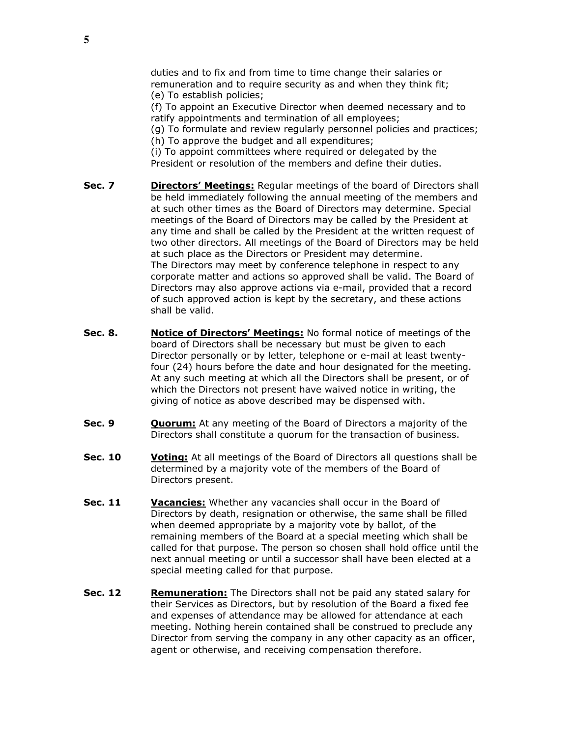duties and to fix and from time to time change their salaries or remuneration and to require security as and when they think fit; (e) To establish policies;

(f) To appoint an Executive Director when deemed necessary and to ratify appointments and termination of all employees;

(g) To formulate and review regularly personnel policies and practices; (h) To approve the budget and all expenditures;

(i) To appoint committees where required or delegated by the President or resolution of the members and define their duties.

- **Sec. 7** Directors' Meetings: Reqular meetings of the board of Directors shall be held immediately following the annual meeting of the members and at such other times as the Board of Directors may determine. Special meetings of the Board of Directors may be called by the President at any time and shall be called by the President at the written request of two other directors. All meetings of the Board of Directors may be held at such place as the Directors or President may determine. The Directors may meet by conference telephone in respect to any corporate matter and actions so approved shall be valid. The Board of Directors may also approve actions via e-mail, provided that a record of such approved action is kept by the secretary, and these actions shall be valid.
- **Sec. 8. Notice of Directors' Meetings:** No formal notice of meetings of the board of Directors shall be necessary but must be given to each Director personally or by letter, telephone or e-mail at least twentyfour (24) hours before the date and hour designated for the meeting. At any such meeting at which all the Directors shall be present, or of which the Directors not present have waived notice in writing, the giving of notice as above described may be dispensed with.
- **Sec. 9 Quorum:** At any meeting of the Board of Directors a majority of the Directors shall constitute a quorum for the transaction of business.
- **Sec. 10 Voting:** At all meetings of the Board of Directors all questions shall be determined by a majority vote of the members of the Board of Directors present.
- **Sec. 11** Vacancies: Whether any vacancies shall occur in the Board of Directors by death, resignation or otherwise, the same shall be filled when deemed appropriate by a majority vote by ballot, of the remaining members of the Board at a special meeting which shall be called for that purpose. The person so chosen shall hold office until the next annual meeting or until a successor shall have been elected at a special meeting called for that purpose.
- **Sec. 12** Remuneration: The Directors shall not be paid any stated salary for their Services as Directors, but by resolution of the Board a fixed fee and expenses of attendance may be allowed for attendance at each meeting. Nothing herein contained shall be construed to preclude any Director from serving the company in any other capacity as an officer, agent or otherwise, and receiving compensation therefore.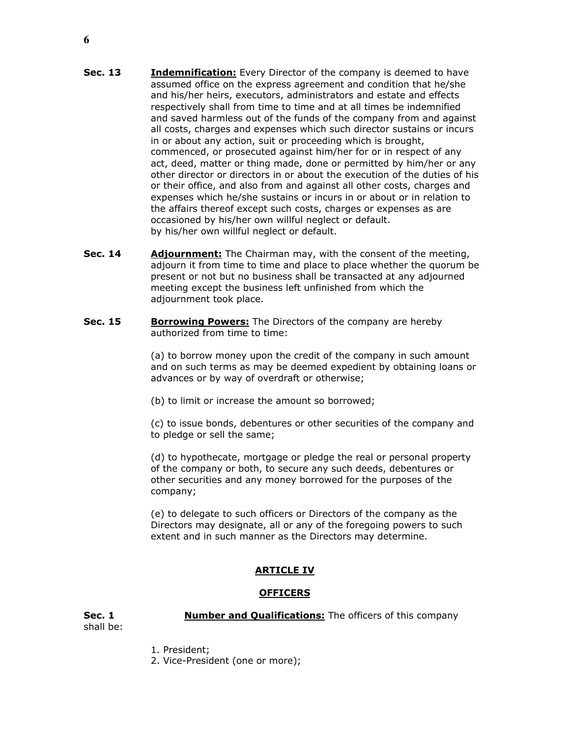- **Sec. 13 Indemnification:** Every Director of the company is deemed to have assumed office on the express agreement and condition that he/she and his/her heirs, executors, administrators and estate and effects respectively shall from time to time and at all times be indemnified and saved harmless out of the funds of the company from and against all costs, charges and expenses which such director sustains or incurs in or about any action, suit or proceeding which is brought, commenced, or prosecuted against him/her for or in respect of any act, deed, matter or thing made, done or permitted by him/her or any other director or directors in or about the execution of the duties of his or their office, and also from and against all other costs, charges and expenses which he/she sustains or incurs in or about or in relation to the affairs thereof except such costs, charges or expenses as are occasioned by his/her own willful neglect or default. by his/her own willful neglect or default.
- **Sec. 14** Adjournment: The Chairman may, with the consent of the meeting, adjourn it from time to time and place to place whether the quorum be present or not but no business shall be transacted at any adjourned meeting except the business left unfinished from which the adjournment took place.
- **Sec. 15 Borrowing Powers:** The Directors of the company are hereby authorized from time to time:

(a) to borrow money upon the credit of the company in such amount and on such terms as may be deemed expedient by obtaining loans or advances or by way of overdraft or otherwise;

(b) to limit or increase the amount so borrowed;

(c) to issue bonds, debentures or other securities of the company and to pledge or sell the same;

(d) to hypothecate, mortgage or pledge the real or personal property of the company or both, to secure any such deeds, debentures or other securities and any money borrowed for the purposes of the company;

(e) to delegate to such officers or Directors of the company as the Directors may designate, all or any of the foregoing powers to such extent and in such manner as the Directors may determine.

# **ARTICLE IV**

## **OFFICERS**

shall be:

**Sec. 1 Number and Qualifications:** The officers of this company

1. President;

2. Vice-President (one or more);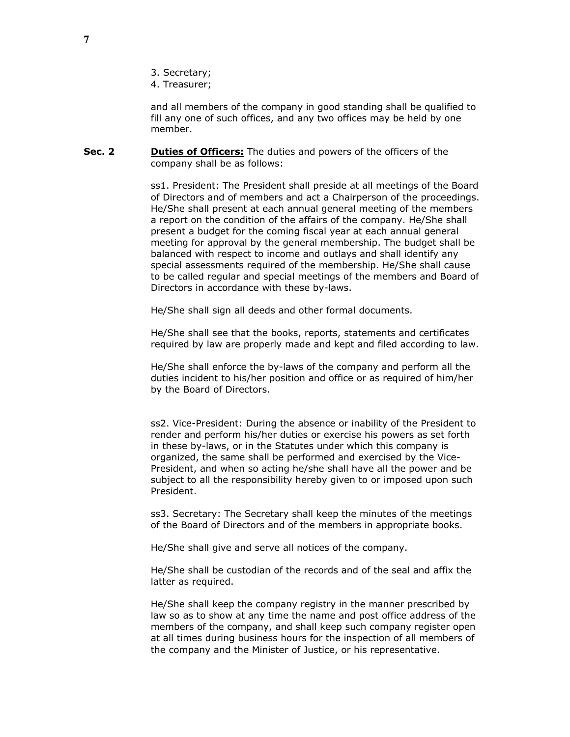- 3. Secretary;
- 4. Treasurer;

and all members of the company in good standing shall be qualified to fill any one of such offices, and any two offices may be held by one member.

**Sec. 2 Duties of Officers:** The duties and powers of the officers of the company shall be as follows:

> ss1. President: The President shall preside at all meetings of the Board of Directors and of members and act a Chairperson of the proceedings. He/She shall present at each annual general meeting of the members a report on the condition of the affairs of the company. He/She shall present a budget for the coming fiscal year at each annual general meeting for approval by the general membership. The budget shall be balanced with respect to income and outlays and shall identify any special assessments required of the membership. He/She shall cause to be called regular and special meetings of the members and Board of Directors in accordance with these by-laws.

He/She shall sign all deeds and other formal documents.

He/She shall see that the books, reports, statements and certificates required by law are properly made and kept and filed according to law.

He/She shall enforce the by-laws of the company and perform all the duties incident to his/her position and office or as required of him/her by the Board of Directors.

ss2. Vice-President: During the absence or inability of the President to render and perform his/her duties or exercise his powers as set forth in these by-laws, or in the Statutes under which this company is organized, the same shall be performed and exercised by the Vice-President, and when so acting he/she shall have all the power and be subject to all the responsibility hereby given to or imposed upon such President.

ss3. Secretary: The Secretary shall keep the minutes of the meetings of the Board of Directors and of the members in appropriate books.

He/She shall give and serve all notices of the company.

He/She shall be custodian of the records and of the seal and affix the latter as required.

He/She shall keep the company registry in the manner prescribed by law so as to show at any time the name and post office address of the members of the company, and shall keep such company register open at all times during business hours for the inspection of all members of the company and the Minister of Justice, or his representative.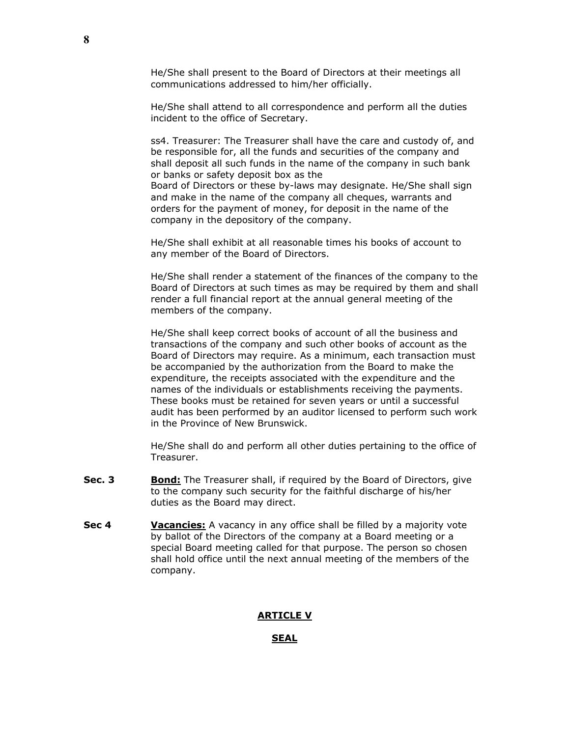He/She shall present to the Board of Directors at their meetings all communications addressed to him/her officially.

He/She shall attend to all correspondence and perform all the duties incident to the office of Secretary.

ss4. Treasurer: The Treasurer shall have the care and custody of, and be responsible for, all the funds and securities of the company and shall deposit all such funds in the name of the company in such bank or banks or safety deposit box as the Board of Directors or these by-laws may designate. He/She shall sign and make in the name of the company all cheques, warrants and orders for the payment of money, for deposit in the name of the company in the depository of the company.

He/She shall exhibit at all reasonable times his books of account to any member of the Board of Directors.

He/She shall render a statement of the finances of the company to the Board of Directors at such times as may be required by them and shall render a full financial report at the annual general meeting of the members of the company.

He/She shall keep correct books of account of all the business and transactions of the company and such other books of account as the Board of Directors may require. As a minimum, each transaction must be accompanied by the authorization from the Board to make the expenditure, the receipts associated with the expenditure and the names of the individuals or establishments receiving the payments. These books must be retained for seven years or until a successful audit has been performed by an auditor licensed to perform such work in the Province of New Brunswick.

He/She shall do and perform all other duties pertaining to the office of Treasurer.

- **Sec. 3** Bond: The Treasurer shall, if required by the Board of Directors, give to the company such security for the faithful discharge of his/her duties as the Board may direct.
- **Sec 4 Vacancies:** A vacancy in any office shall be filled by a majority vote by ballot of the Directors of the company at a Board meeting or a special Board meeting called for that purpose. The person so chosen shall hold office until the next annual meeting of the members of the company.

#### **ARTICLE V**

#### **SEAL**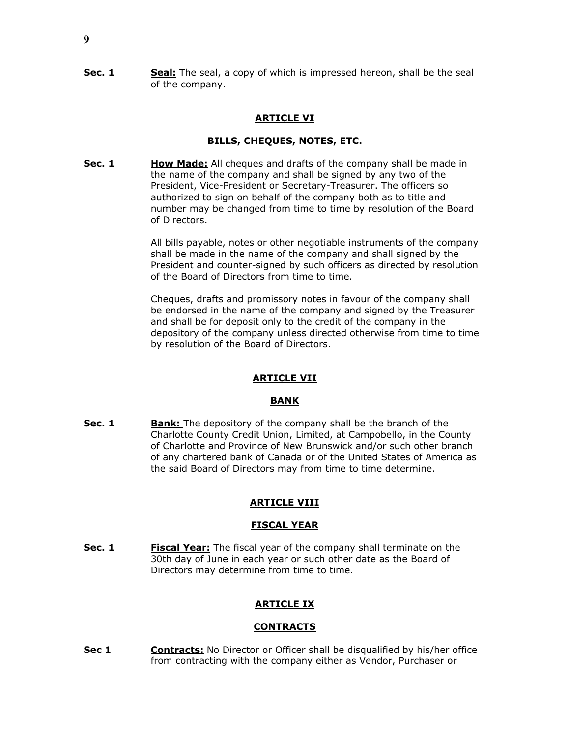**Sec. 1** Seal: The seal, a copy of which is impressed hereon, shall be the seal of the company.

## **ARTICLE VI**

## **BILLS, CHEQUES, NOTES, ETC.**

**Sec. 1** How Made: All cheques and drafts of the company shall be made in the name of the company and shall be signed by any two of the President, Vice-President or Secretary-Treasurer. The officers so authorized to sign on behalf of the company both as to title and number may be changed from time to time by resolution of the Board of Directors.

> All bills payable, notes or other negotiable instruments of the company shall be made in the name of the company and shall signed by the President and counter-signed by such officers as directed by resolution of the Board of Directors from time to time.

> Cheques, drafts and promissory notes in favour of the company shall be endorsed in the name of the company and signed by the Treasurer and shall be for deposit only to the credit of the company in the depository of the company unless directed otherwise from time to time by resolution of the Board of Directors.

## **ARTICLE VII**

#### **BANK**

**Sec. 1 Bank:** The depository of the company shall be the branch of the Charlotte County Credit Union, Limited, at Campobello, in the County of Charlotte and Province of New Brunswick and/or such other branch of any chartered bank of Canada or of the United States of America as the said Board of Directors may from time to time determine.

## **ARTICLE VIII**

## **FISCAL YEAR**

**Sec. 1** Fiscal Year: The fiscal year of the company shall terminate on the 30th day of June in each year or such other date as the Board of Directors may determine from time to time.

## **ARTICLE IX**

## **CONTRACTS**

**Sec 1** Contracts: No Director or Officer shall be disqualified by his/her office from contracting with the company either as Vendor, Purchaser or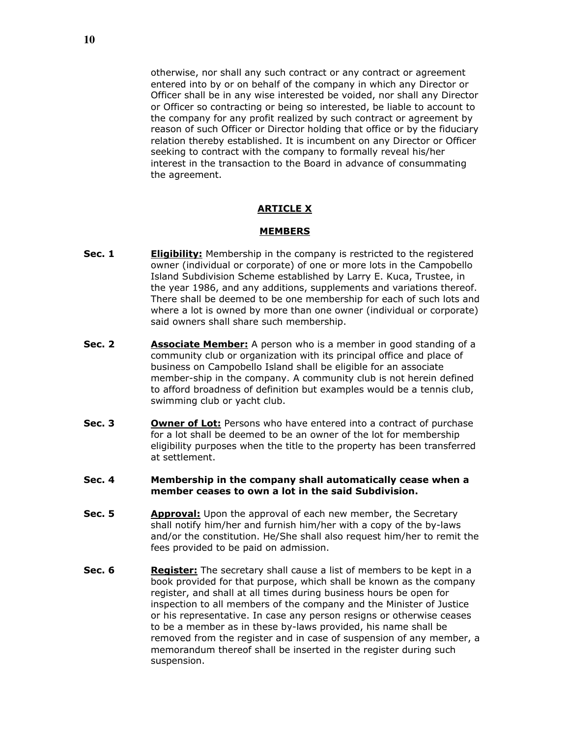otherwise, nor shall any such contract or any contract or agreement entered into by or on behalf of the company in which any Director or Officer shall be in any wise interested be voided, nor shall any Director or Officer so contracting or being so interested, be liable to account to the company for any profit realized by such contract or agreement by reason of such Officer or Director holding that office or by the fiduciary relation thereby established. It is incumbent on any Director or Officer seeking to contract with the company to formally reveal his/her interest in the transaction to the Board in advance of consummating the agreement.

## **ARTICLE X**

#### **MEMBERS**

- **Sec. 1 Eligibility:** Membership in the company is restricted to the registered owner (individual or corporate) of one or more lots in the Campobello Island Subdivision Scheme established by Larry E. Kuca, Trustee, in the year 1986, and any additions, supplements and variations thereof. There shall be deemed to be one membership for each of such lots and where a lot is owned by more than one owner (individual or corporate) said owners shall share such membership.
- **Sec. 2** Associate Member: A person who is a member in good standing of a community club or organization with its principal office and place of business on Campobello Island shall be eligible for an associate member-ship in the company. A community club is not herein defined to afford broadness of definition but examples would be a tennis club, swimming club or yacht club.
- **Sec. 3** Owner of Lot: Persons who have entered into a contract of purchase for a lot shall be deemed to be an owner of the lot for membership eligibility purposes when the title to the property has been transferred at settlement.
- **Sec. 4 Membership in the company shall automatically cease when a member ceases to own a lot in the said Subdivision.**
- **Sec. 5** Approval: Upon the approval of each new member, the Secretary shall notify him/her and furnish him/her with a copy of the by-laws and/or the constitution. He/She shall also request him/her to remit the fees provided to be paid on admission.
- **Sec. 6** Register: The secretary shall cause a list of members to be kept in a book provided for that purpose, which shall be known as the company register, and shall at all times during business hours be open for inspection to all members of the company and the Minister of Justice or his representative. In case any person resigns or otherwise ceases to be a member as in these by-laws provided, his name shall be removed from the register and in case of suspension of any member, a memorandum thereof shall be inserted in the register during such suspension.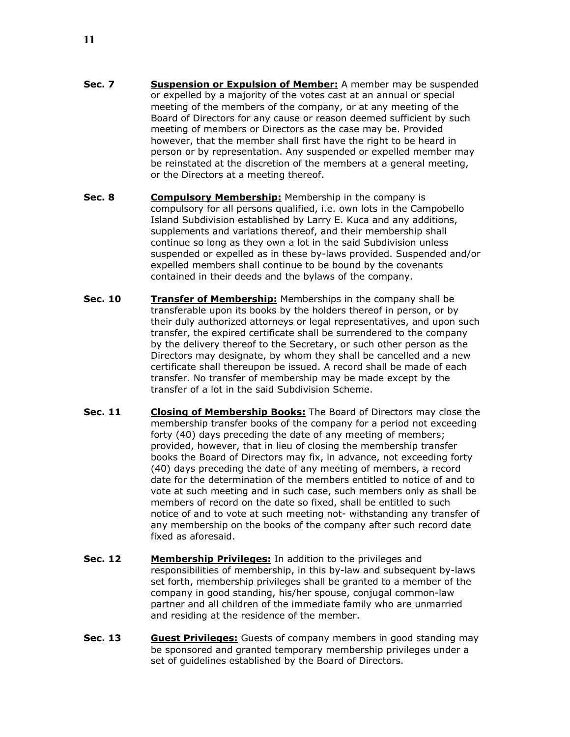- **Sec. 7 Suspension or Expulsion of Member:** A member may be suspended or expelled by a majority of the votes cast at an annual or special meeting of the members of the company, or at any meeting of the Board of Directors for any cause or reason deemed sufficient by such meeting of members or Directors as the case may be. Provided however, that the member shall first have the right to be heard in person or by representation. Any suspended or expelled member may be reinstated at the discretion of the members at a general meeting, or the Directors at a meeting thereof.
- **Sec. 8 Compulsory Membership:** Membership in the company is compulsory for all persons qualified, i.e. own lots in the Campobello Island Subdivision established by Larry E. Kuca and any additions, supplements and variations thereof, and their membership shall continue so long as they own a lot in the said Subdivision unless suspended or expelled as in these by-laws provided. Suspended and/or expelled members shall continue to be bound by the covenants contained in their deeds and the bylaws of the company.
- **Sec. 10 Transfer of Membership:** Memberships in the company shall be transferable upon its books by the holders thereof in person, or by their duly authorized attorneys or legal representatives, and upon such transfer, the expired certificate shall be surrendered to the company by the delivery thereof to the Secretary, or such other person as the Directors may designate, by whom they shall be cancelled and a new certificate shall thereupon be issued. A record shall be made of each transfer. No transfer of membership may be made except by the transfer of a lot in the said Subdivision Scheme.
- **Sec. 11 Closing of Membership Books:** The Board of Directors may close the membership transfer books of the company for a period not exceeding forty (40) days preceding the date of any meeting of members; provided, however, that in lieu of closing the membership transfer books the Board of Directors may fix, in advance, not exceeding forty (40) days preceding the date of any meeting of members, a record date for the determination of the members entitled to notice of and to vote at such meeting and in such case, such members only as shall be members of record on the date so fixed, shall be entitled to such notice of and to vote at such meeting not- withstanding any transfer of any membership on the books of the company after such record date fixed as aforesaid.
- **Sec. 12** Membership Privileges: In addition to the privileges and responsibilities of membership, in this by-law and subsequent by-laws set forth, membership privileges shall be granted to a member of the company in good standing, his/her spouse, conjugal common-law partner and all children of the immediate family who are unmarried and residing at the residence of the member.
- **Sec. 13 Guest Privileges:** Guests of company members in good standing may be sponsored and granted temporary membership privileges under a set of guidelines established by the Board of Directors.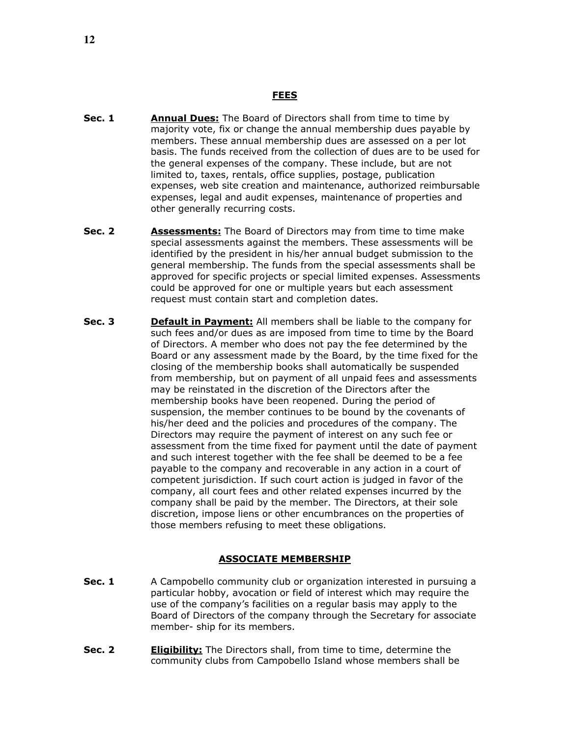- **Sec. 1** Annual Dues: The Board of Directors shall from time to time by majority vote, fix or change the annual membership dues payable by members. These annual membership dues are assessed on a per lot basis. The funds received from the collection of dues are to be used for the general expenses of the company. These include, but are not limited to, taxes, rentals, office supplies, postage, publication expenses, web site creation and maintenance, authorized reimbursable expenses, legal and audit expenses, maintenance of properties and other generally recurring costs.
- **Sec. 2** Assessments: The Board of Directors may from time to time make special assessments against the members. These assessments will be identified by the president in his/her annual budget submission to the general membership. The funds from the special assessments shall be approved for specific projects or special limited expenses. Assessments could be approved for one or multiple years but each assessment request must contain start and completion dates.
- **Sec. 3** Default in Payment: All members shall be liable to the company for such fees and/or dues as are imposed from time to time by the Board of Directors. A member who does not pay the fee determined by the Board or any assessment made by the Board, by the time fixed for the closing of the membership books shall automatically be suspended from membership, but on payment of all unpaid fees and assessments may be reinstated in the discretion of the Directors after the membership books have been reopened. During the period of suspension, the member continues to be bound by the covenants of his/her deed and the policies and procedures of the company. The Directors may require the payment of interest on any such fee or assessment from the time fixed for payment until the date of payment and such interest together with the fee shall be deemed to be a fee payable to the company and recoverable in any action in a court of competent jurisdiction. If such court action is judged in favor of the company, all court fees and other related expenses incurred by the company shall be paid by the member. The Directors, at their sole discretion, impose liens or other encumbrances on the properties of those members refusing to meet these obligations.

## **ASSOCIATE MEMBERSHIP**

- **Sec. 1** A Campobello community club or organization interested in pursuing a particular hobby, avocation or field of interest which may require the use of the company's facilities on a regular basis may apply to the Board of Directors of the company through the Secretary for associate member- ship for its members.
- **Sec. 2 Eligibility:** The Directors shall, from time to time, determine the community clubs from Campobello Island whose members shall be